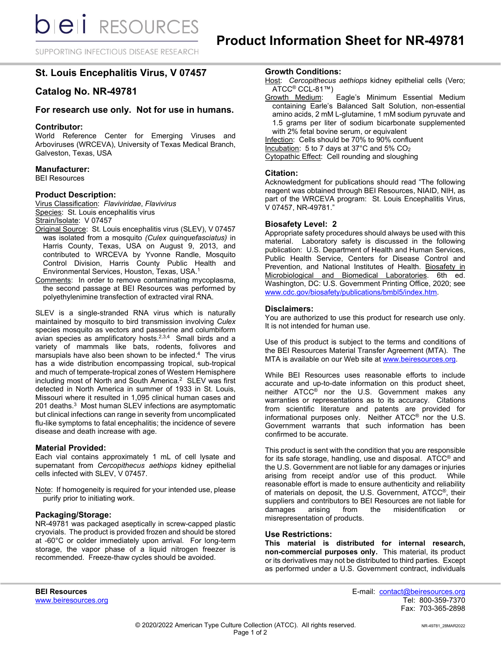SUPPORTING INFECTIOUS DISEASE RESEARCH

# **St. Louis Encephalitis Virus, V 07457**

# **Catalog No. NR-49781**

## **For research use only. Not for use in humans.**

## **Contributor:**

World Reference Center for Emerging Viruses and Arboviruses (WRCEVA), University of Texas Medical Branch, Galveston, Texas, USA

## **Manufacturer:**

BEI Resources

#### **Product Description:**

Virus Classification: *Flaviviridae*, *Flavivirus* Species: St. Louis encephalitis virus Strain/Isolate: V 07457

- Original Source: St. Louis encephalitis virus (SLEV), V 07457 was isolated from a mosquito *(Culex quinquefasciatus)* in Harris County, Texas, USA on August 9, 2013, and contributed to WRCEVA by Yvonne Randle, Mosquito Control Division, Harris County Public Health and Environmental Services, Houston, Texas, USA. 1
- Comments: In order to remove contaminating mycoplasma, the second passage at BEI Resources was performed by polyethylenimine transfection of extracted viral RNA.

SLEV is a single-stranded RNA virus which is naturally maintained by mosquito to bird transmission involving *Culex*  species mosquito as vectors and passerine and columbiform avian species as amplificatory hosts.<sup>2,3,4</sup> Small birds and a variety of mammals like bats, rodents, folivores and marsupials have also been shown to be infected.<sup>4</sup> The virus has a wide distribution encompassing tropical, sub-tropical and much of temperate-tropical zones of Western Hemisphere including most of North and South America. 2 SLEV was first detected in North America in summer of 1933 in St. Louis, Missouri where it resulted in 1,095 clinical human cases and 201 deaths. 3 Most human SLEV infections are asymptomatic but clinical infections can range in severity from uncomplicated flu-like symptoms to fatal encephalitis; the incidence of severe disease and death increase with age.

#### **Material Provided:**

Each vial contains approximately 1 mL of cell lysate and supernatant from *Cercopithecus aethiops* kidney epithelial cells infected with SLEV, V 07457.

Note: If homogeneity is required for your intended use, please purify prior to initiating work.

#### **Packaging/Storage:**

NR-49781 was packaged aseptically in screw-capped plastic cryovials. The product is provided frozen and should be stored at -60°C or colder immediately upon arrival. For long-term storage, the vapor phase of a liquid nitrogen freezer is recommended. Freeze-thaw cycles should be avoided.

- Host: Cercopithecus aethiops kidney epithelial cells (Vero; ATCC<sup>®</sup> CCL-81™)<br>Growth Medium:
- Eagle's Minimum Essential Medium containing Earle's Balanced Salt Solution, non-essential amino acids, 2 mM L-glutamine, 1 mM sodium pyruvate and 1.5 grams per liter of sodium bicarbonate supplemented with 2% fetal bovine serum, or equivalent Infection: Cells should be 70% to 90% confluent

Incubation: 5 to 7 days at 37°C and 5% CO2 Cytopathic Effect: Cell rounding and sloughing

#### **Citation:**

Acknowledgment for publications should read "The following reagent was obtained through BEI Resources, NIAID, NIH, as part of the WRCEVA program: St. Louis Encephalitis Virus, V 07457, NR-49781."

#### **Biosafety Level: 2**

Appropriate safety procedures should always be used with this material. Laboratory safety is discussed in the following publication: U.S. Department of Health and Human Services, Public Health Service, Centers for Disease Control and Prevention, and National Institutes of Health. Biosafety in Microbiological and Biomedical Laboratories. 6th ed. Washington, DC: U.S. Government Printing Office, 2020; see [www.cdc.gov/biosafety/publications/bmbl5/index.htm.](http://www.cdc.gov/biosafety/publications/bmbl5/index.htm)

#### **Disclaimers:**

You are authorized to use this product for research use only. It is not intended for human use.

Use of this product is subject to the terms and conditions of the BEI Resources Material Transfer Agreement (MTA). The MTA is available on our Web site at [www.beiresources.org.](http://www.beiresources.org/)

While BEI Resources uses reasonable efforts to include accurate and up-to-date information on this product sheet, neither ATCC<sup>®</sup> nor the U.S. Government makes any warranties or representations as to its accuracy. Citations from scientific literature and patents are provided for informational purposes only. Neither ATCC® nor the U.S. Government warrants that such information has been confirmed to be accurate.

This product is sent with the condition that you are responsible for its safe storage, handling, use and disposal. ATCC® and the U.S. Government are not liable for any damages or injuries arising from receipt and/or use of this product. While reasonable effort is made to ensure authenticity and reliability of materials on deposit, the U.S. Government, ATCC®, their suppliers and contributors to BEI Resources are not liable for damages arising from the misidentification or misrepresentation of products.

### **Use Restrictions:**

**This material is distributed for internal research, non-commercial purposes only.** This material, its product or its derivatives may not be distributed to third parties. Except as performed under a U.S. Government contract, individuals

**BEI Resources** E-mail: contact@beiresources.org Fax: 703-365-2898